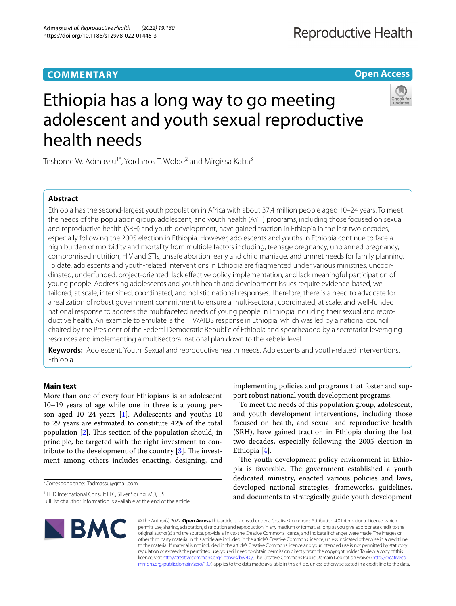## **COMMENTARY**

**Open Access**

# Ethiopia has a long way to go meeting adolescent and youth sexual reproductive health needs



Teshome W. Admassu<sup>1\*</sup>, Yordanos T. Wolde<sup>2</sup> and Mirgissa Kaba<sup>3</sup>

### **Abstract**

Ethiopia has the second-largest youth population in Africa with about 37.4 million people aged 10–24 years. To meet the needs of this population group, adolescent, and youth health (AYH) programs, including those focused on sexual and reproductive health (SRH) and youth development, have gained traction in Ethiopia in the last two decades, especially following the 2005 election in Ethiopia. However, adolescents and youths in Ethiopia continue to face a high burden of morbidity and mortality from multiple factors including, teenage pregnancy, unplanned pregnancy, compromised nutrition, HIV and STIs, unsafe abortion, early and child marriage, and unmet needs for family planning. To date, adolescents and youth-related interventions in Ethiopia are fragmented under various ministries, uncoordinated, underfunded, project-oriented, lack efective policy implementation, and lack meaningful participation of young people. Addressing adolescents and youth health and development issues require evidence-based, welltailored, at scale, intensifed, coordinated, and holistic national responses. Therefore, there is a need to advocate for a realization of robust government commitment to ensure a multi-sectoral, coordinated, at scale, and well-funded national response to address the multifaceted needs of young people in Ethiopia including their sexual and reproductive health. An example to emulate is the HIV/AIDS response in Ethiopia, which was led by a national council chaired by the President of the Federal Democratic Republic of Ethiopia and spearheaded by a secretariat leveraging resources and implementing a multisectoral national plan down to the kebele level.

**Keywords:** Adolescent, Youth, Sexual and reproductive health needs, Adolescents and youth-related interventions, Ethiopia

#### **Main text**

More than one of every four Ethiopians is an adolescent 10–19 years of age while one in three is a young per-son aged 10–24 years [\[1](#page-3-0)]. Adolescents and youths 10 to 29 years are estimated to constitute 42% of the total population  $[2]$  $[2]$ . This section of the population should, in principle, be targeted with the right investment to contribute to the development of the country  $[3]$  $[3]$  $[3]$ . The investment among others includes enacting, designing, and

\*Correspondence: Tadmassu@gmail.com

<sup>1</sup> LHD International Consult LLC, Silver Spring, MD, US

Full list of author information is available at the end of the article

implementing policies and programs that foster and support robust national youth development programs.

To meet the needs of this population group, adolescent, and youth development interventions, including those focused on health, and sexual and reproductive health (SRH), have gained traction in Ethiopia during the last two decades, especially following the 2005 election in Ethiopia [\[4](#page-3-3)].

The youth development policy environment in Ethiopia is favorable. The government established a youth dedicated ministry, enacted various policies and laws, developed national strategies, frameworks, guidelines, and documents to strategically guide youth development



© The Author(s) 2022. **Open Access** This article is licensed under a Creative Commons Attribution 4.0 International License, which permits use, sharing, adaptation, distribution and reproduction in any medium or format, as long as you give appropriate credit to the original author(s) and the source, provide a link to the Creative Commons licence, and indicate if changes were made. The images or other third party material in this article are included in the article's Creative Commons licence, unless indicated otherwise in a credit line to the material. If material is not included in the article's Creative Commons licence and your intended use is not permitted by statutory regulation or exceeds the permitted use, you will need to obtain permission directly from the copyright holder. To view a copy of this licence, visit [http://creativecommons.org/licenses/by/4.0/.](http://creativecommons.org/licenses/by/4.0/) The Creative Commons Public Domain Dedication waiver ([http://creativeco](http://creativecommons.org/publicdomain/zero/1.0/) [mmons.org/publicdomain/zero/1.0/](http://creativecommons.org/publicdomain/zero/1.0/)) applies to the data made available in this article, unless otherwise stated in a credit line to the data.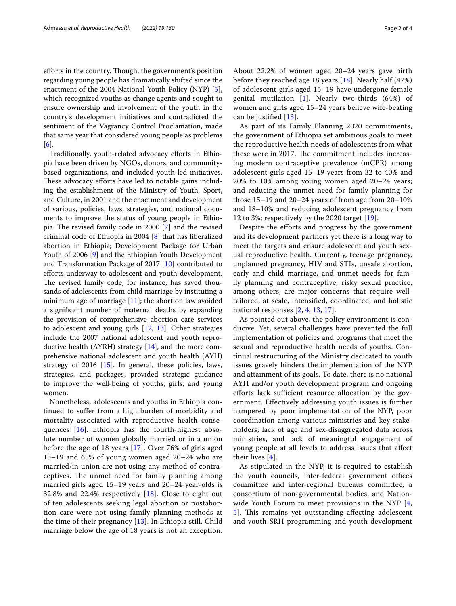efforts in the country. Though, the government's position regarding young people has dramatically shifted since the enactment of the 2004 National Youth Policy (NYP) [\[5](#page-3-4)], which recognized youths as change agents and sought to ensure ownership and involvement of the youth in the country's development initiatives and contradicted the sentiment of the Vagrancy Control Proclamation, made that same year that considered young people as problems [[6\]](#page-3-5).

Traditionally, youth-related advocacy eforts in Ethiopia have been driven by NGOs, donors, and communitybased organizations, and included youth-led initiatives. These advocacy efforts have led to notable gains including the establishment of the Ministry of Youth, Sport, and Culture, in 2001 and the enactment and development of various, policies, laws, strategies, and national documents to improve the status of young people in Ethiopia. The revised family code in  $2000$  [[7\]](#page-3-6) and the revised criminal code of Ethiopia in 2004 [\[8\]](#page-3-7) that has liberalized abortion in Ethiopia; Development Package for Urban Youth of 2006 [[9\]](#page-3-8) and the Ethiopian Youth Development and Transformation Package of 2017 [\[10\]](#page-3-9) contributed to efforts underway to adolescent and youth development. The revised family code, for instance, has saved thousands of adolescents from child marriage by instituting a minimum age of marriage [\[11\]](#page-3-10); the abortion law avoided a signifcant number of maternal deaths by expanding the provision of comprehensive abortion care services to adolescent and young girls [\[12](#page-3-11), [13](#page-3-12)]. Other strategies include the 2007 national adolescent and youth reproductive health (AYRH) strategy [\[14](#page-3-13)], and the more comprehensive national adolescent and youth health (AYH) strategy of 2016 [[15](#page-3-14)]. In general, these policies, laws, strategies, and packages, provided strategic guidance to improve the well-being of youths, girls, and young women.

Nonetheless, adolescents and youths in Ethiopia continued to sufer from a high burden of morbidity and mortality associated with reproductive health consequences [[16\]](#page-3-15). Ethiopia has the fourth-highest absolute number of women globally married or in a union before the age of 18 years [[17](#page-3-16)]. Over 76% of girls aged 15–19 and 65% of young women aged 20–24 who are married/in union are not using any method of contraceptives. The unmet need for family planning among married girls aged 15–19 years and 20–24-year-olds is 32.8% and 22.4% respectively [[18](#page-3-17)]. Close to eight out of ten adolescents seeking legal abortion or postabortion care were not using family planning methods at the time of their pregnancy [[13\]](#page-3-12). In Ethiopia still. Child marriage below the age of 18 years is not an exception.

About 22.2% of women aged 20–24 years gave birth before they reached age 18 years [[18\]](#page-3-17). Nearly half (47%) of adolescent girls aged 15–19 have undergone female genital mutilation [[1\]](#page-3-0). Nearly two-thirds (64%) of women and girls aged 15–24 years believe wife-beating can be justifed [[13](#page-3-12)].

As part of its Family Planning 2020 commitments, the government of Ethiopia set ambitious goals to meet the reproductive health needs of adolescents from what these were in 2017. The commitment includes increasing modern contraceptive prevalence (mCPR) among adolescent girls aged 15–19 years from 32 to 40% and 20% to 10% among young women aged 20–24 years; and reducing the unmet need for family planning for those 15–19 and 20–24 years of from age from 20–10% and 18–10% and reducing adolescent pregnancy from 12 to 3%; respectively by the 2020 target [[19](#page-3-18)].

Despite the efforts and progress by the government and its development partners yet there is a long way to meet the targets and ensure adolescent and youth sexual reproductive health. Currently, teenage pregnancy, unplanned pregnancy, HIV and STIs, unsafe abortion, early and child marriage, and unmet needs for family planning and contraceptive, risky sexual practice, among others, are major concerns that require welltailored, at scale, intensifed, coordinated, and holistic national responses [[2,](#page-3-1) [4,](#page-3-3) [13,](#page-3-12) [17\]](#page-3-16).

As pointed out above, the policy environment is conducive. Yet, several challenges have prevented the full implementation of policies and programs that meet the sexual and reproductive health needs of youths. Continual restructuring of the Ministry dedicated to youth issues gravely hinders the implementation of the NYP and attainment of its goals. To date, there is no national AYH and/or youth development program and ongoing efforts lack sufficient resource allocation by the government. Efectively addressing youth issues is further hampered by poor implementation of the NYP, poor coordination among various ministries and key stakeholders; lack of age and sex-disaggregated data across ministries, and lack of meaningful engagement of young people at all levels to address issues that afect their lives [[4\]](#page-3-3).

As stipulated in the NYP, it is required to establish the youth councils, inter-federal government offices committee and inter-regional bureaus committee, a consortium of non-governmental bodies, and Nation-wide Youth Forum to meet provisions in the NYP [\[4](#page-3-3), [5\]](#page-3-4). This remains yet outstanding affecting adolescent and youth SRH programming and youth development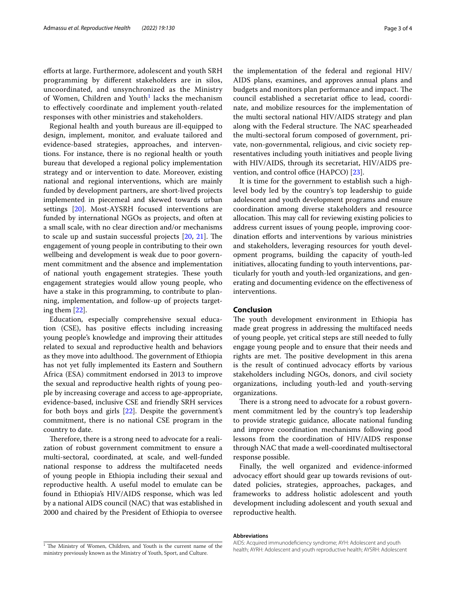eforts at large. Furthermore, adolescent and youth SRH programming by diferent stakeholders are in silos, uncoordinated, and unsynchronized as the Ministry of Women, Children and Youth<sup>[1](#page-2-0)</sup> lacks the mechanism to efectively coordinate and implement youth-related responses with other ministries and stakeholders.

Regional health and youth bureaus are ill-equipped to design, implement, monitor, and evaluate tailored and evidence-based strategies, approaches, and interventions. For instance, there is no regional health or youth bureau that developed a regional policy implementation strategy and or intervention to date. Moreover, existing national and regional interventions, which are mainly funded by development partners, are short-lived projects implemented in piecemeal and skewed towards urban settings [\[20](#page-3-19)]. Most-AYSRH focused interventions are funded by international NGOs as projects, and often at a small scale, with no clear direction and/or mechanisms to scale up and sustain successful projects  $[20, 21]$  $[20, 21]$  $[20, 21]$  $[20, 21]$  $[20, 21]$ . The engagement of young people in contributing to their own wellbeing and development is weak due to poor government commitment and the absence and implementation of national youth engagement strategies. These youth engagement strategies would allow young people, who have a stake in this programming, to contribute to planning, implementation, and follow-up of projects targeting them [[22](#page-3-21)].

Education, especially comprehensive sexual education (CSE), has positive efects including increasing young people's knowledge and improving their attitudes related to sexual and reproductive health and behaviors as they move into adulthood. The government of Ethiopia has not yet fully implemented its Eastern and Southern Africa (ESA) commitment endorsed in 2013 to improve the sexual and reproductive health rights of young people by increasing coverage and access to age-appropriate, evidence-based, inclusive CSE and friendly SRH services for both boys and girls [[22](#page-3-21)]. Despite the government's commitment, there is no national CSE program in the country to date.

Therefore, there is a strong need to advocate for a realization of robust government commitment to ensure a multi-sectoral, coordinated, at scale, and well-funded national response to address the multifaceted needs of young people in Ethiopia including their sexual and reproductive health. A useful model to emulate can be found in Ethiopia's HIV/AIDS response, which was led by a national AIDS council (NAC) that was established in 2000 and chaired by the President of Ethiopia to oversee the implementation of the federal and regional HIV/ AIDS plans, examines, and approves annual plans and budgets and monitors plan performance and impact. The council established a secretariat office to lead, coordinate, and mobilize resources for the implementation of the multi sectoral national HIV/AIDS strategy and plan along with the Federal structure. The NAC spearheaded the multi-sectoral forum composed of government, private, non-governmental, religious, and civic society representatives including youth initiatives and people living with HIV/AIDS, through its secretariat, HIV/AIDS pre-vention, and control office (HAPCO) [[23\]](#page-3-22).

It is time for the government to establish such a highlevel body led by the country's top leadership to guide adolescent and youth development programs and ensure coordination among diverse stakeholders and resource allocation. This may call for reviewing existing policies to address current issues of young people, improving coordination eforts and interventions by various ministries and stakeholders, leveraging resources for youth development programs, building the capacity of youth-led initiatives, allocating funding to youth interventions, particularly for youth and youth-led organizations, and generating and documenting evidence on the efectiveness of interventions.

#### **Conclusion**

The youth development environment in Ethiopia has made great progress in addressing the multifaced needs of young people, yet critical steps are still needed to fully engage young people and to ensure that their needs and rights are met. The positive development in this arena is the result of continued advocacy efforts by various stakeholders including NGOs, donors, and civil society organizations, including youth-led and youth-serving organizations.

There is a strong need to advocate for a robust government commitment led by the country's top leadership to provide strategic guidance, allocate national funding and improve coordination mechanisms following good lessons from the coordination of HIV/AIDS response through NAC that made a well-coordinated multisectoral response possible.

Finally, the well organized and evidence-informed advocacy effort should gear up towards revisions of outdated policies, strategies, approaches, packages, and frameworks to address holistic adolescent and youth development including adolescent and youth sexual and reproductive health.

**Abbreviations**

ministry previously known as the Ministry of Youth, Sport, and Culture.

<span id="page-2-0"></span>AIDS: Acquired immunodefciency syndrome; AYH: Adolescent and youth health; AYRH: Adolescent and youth is the current name of the<br>health; AYRH: Adolescent and youth reproductive health; AYSRH: Adolescent